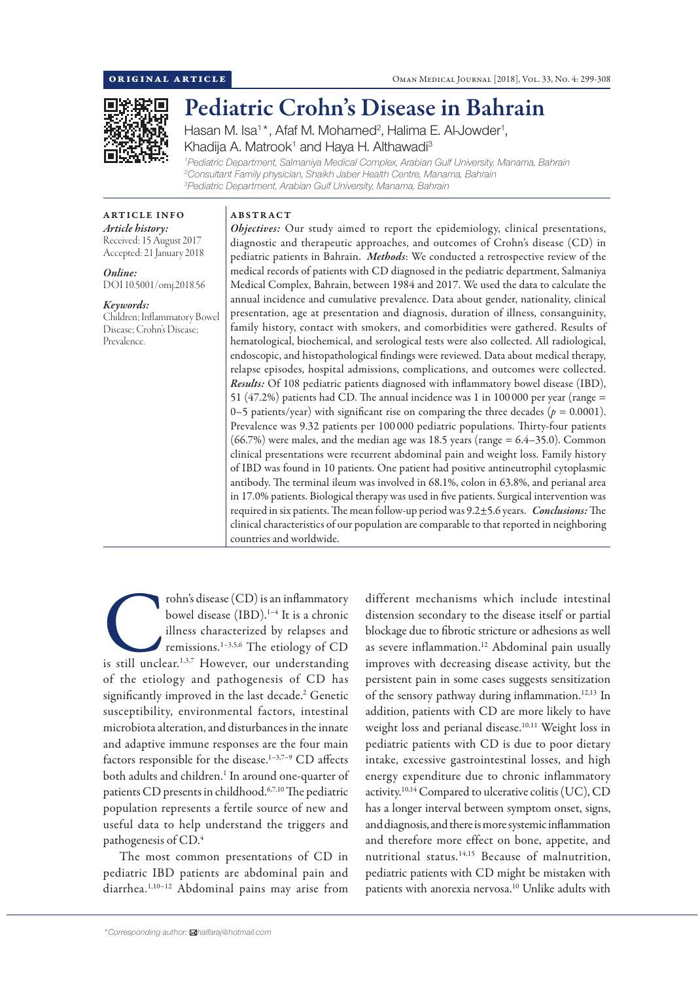

# Pediatric Crohn's Disease in Bahrain

Hasan M. Isa<sup>1\*</sup>, Afaf M. Mohamed<sup>2</sup>, Halima E. Al-Jowder<sup>1</sup>, Khadija A. Matrook<sup>1</sup> and Haya H. Althawadi<sup>3</sup>

*1 Pediatric Department, Salmaniya Medical Complex, Arabian Gulf University, Manama, Bahrain 2 Consultant Family physician, Shaikh Jaber Health Centre, Manama, Bahrain 3 Pediatric Department, Arabian Gulf University, Manama, Bahrain*

ARTICLE INFO *Article history:* Received: 15 August 2017 Accepted: 21 January 2018

*Online:* DOI 10.5001/omj.2018.56

### *Keywords:*

Children; Inflammatory Bowel Disease; Crohn's Disease; Prevalence.

ABSTRACT *Objectives:* Our study aimed to report the epidemiology, clinical presentations, diagnostic and therapeutic approaches, and outcomes of Crohn's disease (CD) in pediatric patients in Bahrain. *Methods*: We conducted a retrospective review of the medical records of patients with CD diagnosed in the pediatric department, Salmaniya Medical Complex, Bahrain, between 1984 and 2017. We used the data to calculate the annual incidence and cumulative prevalence. Data about gender, nationality, clinical presentation, age at presentation and diagnosis, duration of illness, consanguinity, family history, contact with smokers, and comorbidities were gathered. Results of hematological, biochemical, and serological tests were also collected. All radiological, endoscopic, and histopathological findings were reviewed. Data about medical therapy, relapse episodes, hospital admissions, complications, and outcomes were collected. *Results:* Of 108 pediatric patients diagnosed with inflammatory bowel disease (IBD), 51 (47.2%) patients had CD. The annual incidence was 1 in 100 000 per year (range = 0–5 patients/year) with significant rise on comparing the three decades ( $p = 0.0001$ ). Prevalence was 9.32 patients per 100 000 pediatric populations. Thirty-four patients  $(66.7%)$  were males, and the median age was 18.5 years (range =  $6.4-35.0$ ). Common clinical presentations were recurrent abdominal pain and weight loss. Family history of IBD was found in 10 patients. One patient had positive antineutrophil cytoplasmic antibody. The terminal ileum was involved in 68.1%, colon in 63.8%, and perianal area in 17.0% patients. Biological therapy was used in five patients. Surgical intervention was required in six patients. The mean follow-up period was 9.2±5.6 years. *Conclusions:* The clinical characteristics of our population are comparable to that reported in neighboring countries and worldwide.

rohn's disease (CD) is an inflammatory<br>
bowel disease (IBD).<sup>1-4</sup> It is a chronic<br>
illness characterized by relapses and<br>
remissions.<sup>1-3,5,6</sup> The etiology of CD<br>
is still unclear.<sup>1,3,7</sup> However, our understanding bowel disease (IBD).<sup>1-4</sup> It is a chronic illness characterized by relapses and remissions.1–3,5,6 The etiology of CD of the etiology and pathogenesis of CD has significantly improved in the last decade.<sup>2</sup> Genetic susceptibility, environmental factors, intestinal microbiota alteration, and disturbances in the innate and adaptive immune responses are the four main factors responsible for the disease.1–3,7–9 CD affects both adults and children.<sup>1</sup> In around one-quarter of patients CD presents in childhood.<sup>6,7,10</sup> The pediatric population represents a fertile source of new and useful data to help understand the triggers and pathogenesis of CD.4

The most common presentations of CD in pediatric IBD patients are abdominal pain and diarrhea.1,10–12 Abdominal pains may arise from

*\*Corresponding author: halfaraj@hotmail.com*

different mechanisms which include intestinal distension secondary to the disease itself or partial blockage due to fibrotic stricture or adhesions as well as severe inflammation.<sup>12</sup> Abdominal pain usually improves with decreasing disease activity, but the persistent pain in some cases suggests sensitization of the sensory pathway during inflammation.<sup>12,13</sup> In addition, patients with CD are more likely to have weight loss and perianal disease.<sup>10,11</sup> Weight loss in pediatric patients with CD is due to poor dietary intake, excessive gastrointestinal losses, and high energy expenditure due to chronic inflammatory activity.10,14 Compared to ulcerative colitis (UC), CD has a longer interval between symptom onset, signs, and diagnosis, and there is more systemic inflammation and therefore more effect on bone, appetite, and nutritional status.14,15 Because of malnutrition, pediatric patients with CD might be mistaken with patients with anorexia nervosa.<sup>10</sup> Unlike adults with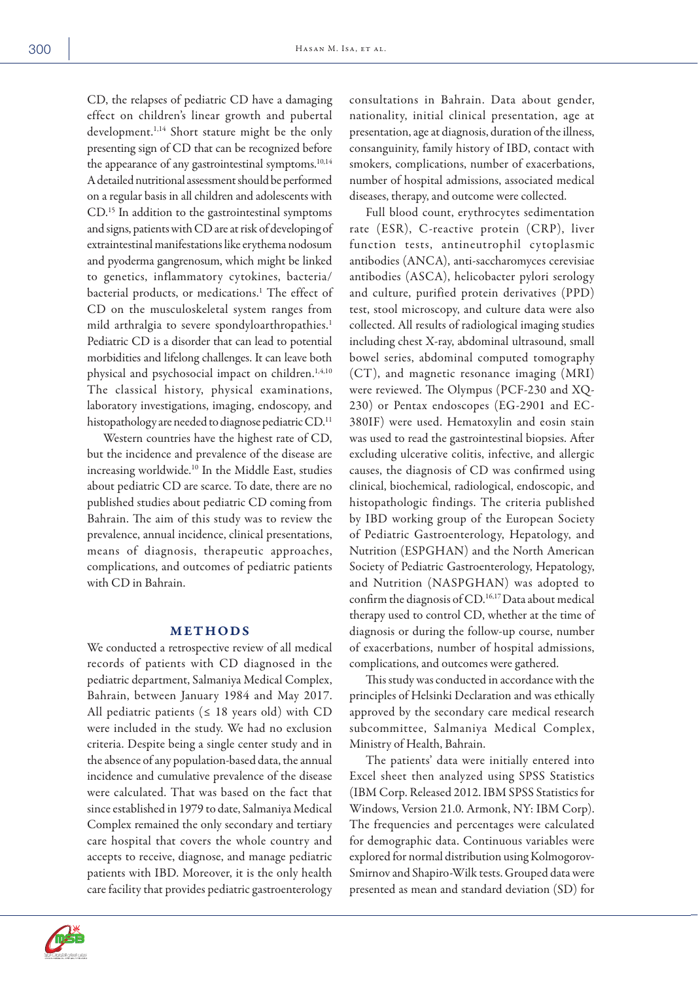CD, the relapses of pediatric CD have a damaging effect on children's linear growth and pubertal development.<sup>1,14</sup> Short stature might be the only presenting sign of CD that can be recognized before the appearance of any gastrointestinal symptoms.<sup>10,14</sup> A detailed nutritional assessment should be performed on a regular basis in all children and adolescents with CD.15 In addition to the gastrointestinal symptoms and signs, patients with CD are at risk of developing of extraintestinal manifestations like erythema nodosum and pyoderma gangrenosum, which might be linked to genetics, inflammatory cytokines, bacteria/ bacterial products, or medications.1 The effect of CD on the musculoskeletal system ranges from mild arthralgia to severe spondyloarthropathies.<sup>1</sup> Pediatric CD is a disorder that can lead to potential morbidities and lifelong challenges. It can leave both physical and psychosocial impact on children.<sup>1,4,10</sup> The classical history, physical examinations, laboratory investigations, imaging, endoscopy, and histopathology are needed to diagnose pediatric CD.<sup>11</sup>

Western countries have the highest rate of CD, but the incidence and prevalence of the disease are increasing worldwide.10 In the Middle East, studies about pediatric CD are scarce. To date, there are no published studies about pediatric CD coming from Bahrain. The aim of this study was to review the prevalence, annual incidence, clinical presentations, means of diagnosis, therapeutic approaches, complications, and outcomes of pediatric patients with CD in Bahrain.

#### METHODS

We conducted a retrospective review of all medical records of patients with CD diagnosed in the pediatric department, Salmaniya Medical Complex, Bahrain, between January 1984 and May 2017. All pediatric patients ( $\leq$  18 years old) with CD were included in the study. We had no exclusion criteria. Despite being a single center study and in the absence of any population-based data, the annual incidence and cumulative prevalence of the disease were calculated. That was based on the fact that since established in 1979 to date, Salmaniya Medical Complex remained the only secondary and tertiary care hospital that covers the whole country and accepts to receive, diagnose, and manage pediatric patients with IBD. Moreover, it is the only health care facility that provides pediatric gastroenterology

consultations in Bahrain. Data about gender, nationality, initial clinical presentation, age at presentation, age at diagnosis, duration of the illness, consanguinity, family history of IBD, contact with smokers, complications, number of exacerbations, number of hospital admissions, associated medical diseases, therapy, and outcome were collected.

Full blood count, erythrocytes sedimentation rate (ESR), C-reactive protein (CRP), liver function tests, antineutrophil cytoplasmic antibodies (ANCA), anti-saccharomyces cerevisiae antibodies (ASCA), helicobacter pylori serology and culture, purified protein derivatives (PPD) test, stool microscopy, and culture data were also collected. All results of radiological imaging studies including chest X-ray, abdominal ultrasound, small bowel series, abdominal computed tomography (CT), and magnetic resonance imaging (MRI) were reviewed. The Olympus (PCF-230 and XQ-230) or Pentax endoscopes (EG-2901 and EC-380IF) were used. Hematoxylin and eosin stain was used to read the gastrointestinal biopsies. After excluding ulcerative colitis, infective, and allergic causes, the diagnosis of CD was confirmed using clinical, biochemical, radiological, endoscopic, and histopathologic findings. The criteria published by IBD working group of the European Society of Pediatric Gastroenterology, Hepatology, and Nutrition (ESPGHAN) and the North American Society of Pediatric Gastroenterology, Hepatology, and Nutrition (NASPGHAN) was adopted to confirm the diagnosis of CD.<sup>16,17</sup> Data about medical therapy used to control CD, whether at the time of diagnosis or during the follow-up course, number of exacerbations, number of hospital admissions, complications, and outcomes were gathered.

This study was conducted in accordance with the principles of Helsinki Declaration and was ethically approved by the secondary care medical research subcommittee, Salmaniya Medical Complex, Ministry of Health, Bahrain.

The patients' data were initially entered into Excel sheet then analyzed using SPSS Statistics (IBM Corp. Released 2012. IBM SPSS Statistics for Windows, Version 21.0. Armonk, NY: IBM Corp). The frequencies and percentages were calculated for demographic data. Continuous variables were explored for normal distribution using Kolmogorov-Smirnov and Shapiro-Wilk tests. Grouped data were presented as mean and standard deviation (SD) for

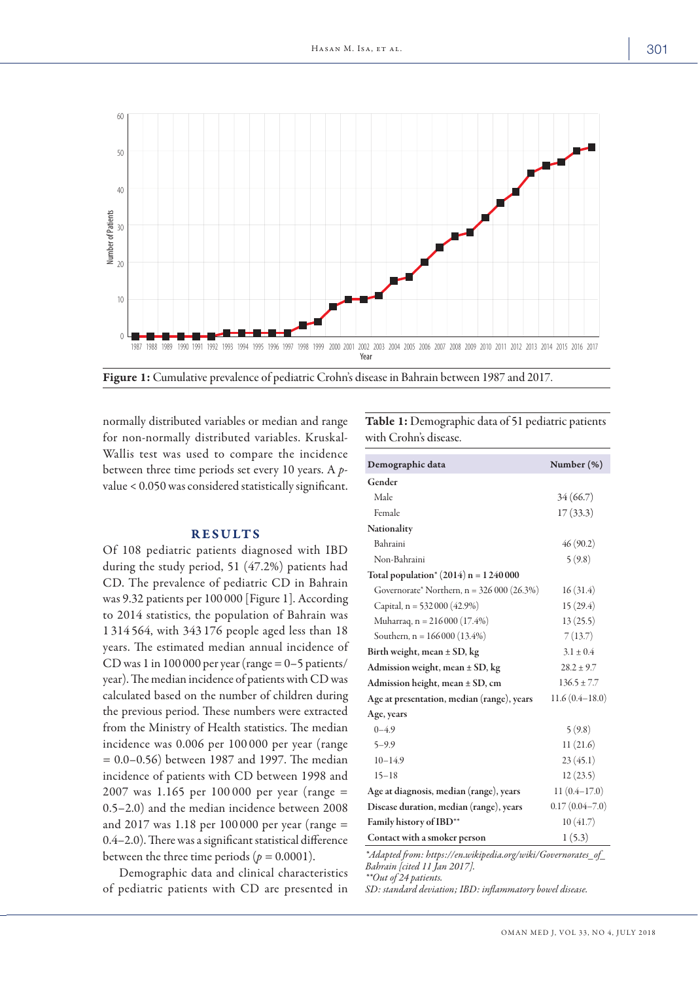

Figure 1: Cumulative prevalence of pediatric Crohn's disease in Bahrain between 1987 and 2017.

normally distributed variables or median and range for non-normally distributed variables. Kruskal-Wallis test was used to compare the incidence between three time periods set every 10 years. A *p*value < 0.050 was considered statistically significant.

## RESULTS

Of 108 pediatric patients diagnosed with IBD during the study period, 51 (47.2%) patients had CD. The prevalence of pediatric CD in Bahrain was 9.32 patients per 100 000 [Figure 1]. According to 2014 statistics, the population of Bahrain was 1 314 564, with 343 176 people aged less than 18 years. The estimated median annual incidence of CD was 1 in 100 000 per year (range  $= 0-5$  patients/ year). The median incidence of patients with CD was calculated based on the number of children during the previous period. These numbers were extracted from the Ministry of Health statistics. The median incidence was 0.006 per 100 000 per year (range = 0.0–0.56) between 1987 and 1997. The median incidence of patients with CD between 1998 and 2007 was 1.165 per 100 000 per year (range = 0.5–2.0) and the median incidence between 2008 and 2017 was 1.18 per 100 000 per year (range = 0.4–2.0). There was a significant statistical difference between the three time periods ( $p = 0.0001$ ).

Demographic data and clinical characteristics of pediatric patients with CD are presented in Table 1: Demographic data of 51 pediatric patients with Crohn's disease.

| Demographic data                           | Number (%)         |  |
|--------------------------------------------|--------------------|--|
| Gender                                     |                    |  |
| Male                                       | 34(66.7)           |  |
| Female                                     | 17(33.3)           |  |
| Nationality                                |                    |  |
| Bahraini                                   | 46(90.2)           |  |
| Non-Bahraini                               | 5(9.8)             |  |
| Total population* $(2014)$ n = 1 240 000   |                    |  |
| Governorate* Northern, $n = 326000(26.3%)$ | 16(31.4)           |  |
| Capital, $n = 532000 (42.9%)$              | 15(29.4)           |  |
| Muharraq, n = 216 000 (17.4%)              | 13(25.5)           |  |
| Southern, $n = 166000(13.4%)$              | 7(13.7)            |  |
| Birth weight, mean $\pm$ SD, kg            | $3.1 \pm 0.4$      |  |
| Admission weight, mean $\pm$ SD, kg        | $28.2 \pm 9.7$     |  |
| Admission height, mean ± SD, cm            | $136.5 \pm 7.7$    |  |
| Age at presentation, median (range), years | $11.6(0.4 - 18.0)$ |  |
| Age, years                                 |                    |  |
| $0 - 4.9$                                  | 5(9.8)             |  |
| $5 - 9.9$                                  | 11(21.6)           |  |
| $10 - 14.9$                                | 23(45.1)           |  |
| $15 - 18$                                  | 12(23.5)           |  |
| Age at diagnosis, median (range), years    | $11(0.4 - 17.0)$   |  |
| Disease duration, median (range), years    | $0.17(0.04 - 7.0)$ |  |
| Family history of IBD**                    | 10(41.7)           |  |
| Contact with a smoker person               | 1(5.3)             |  |

*\*Adapted from: https://en.wikipedia.org/wiki/Governorates\_of\_ Bahrain [cited 11 Jan 2017]. \*\*Out of 24 patients.*

*SD: standard deviation; IBD: inflammatory bowel disease.*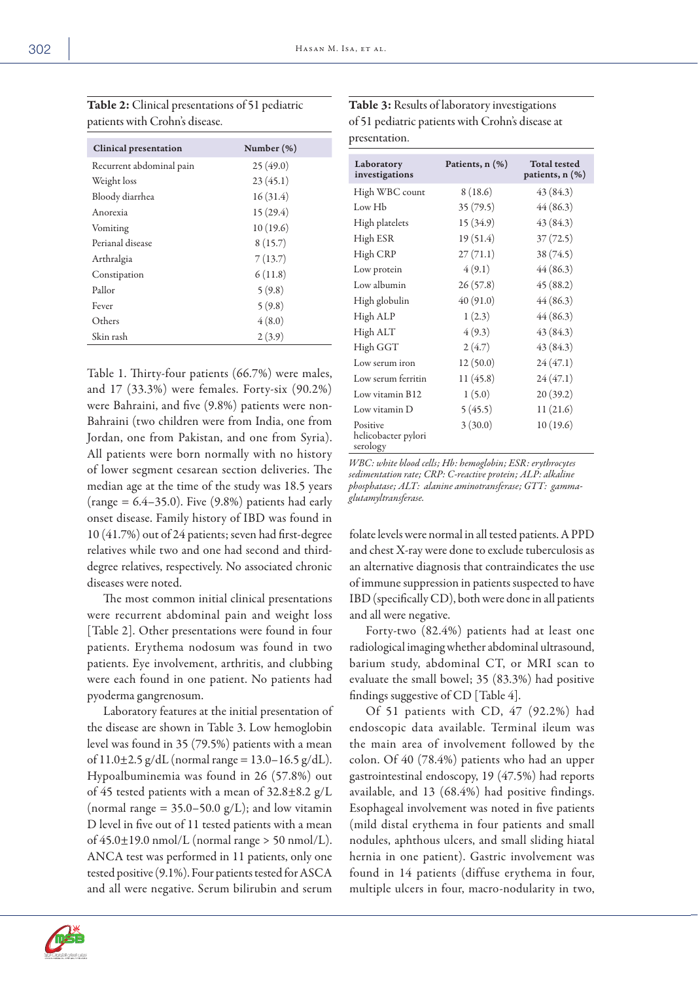| patients with Crohn's disease. |               |
|--------------------------------|---------------|
| <b>Clinical presentation</b>   | Number $(\%)$ |
| Recurrent abdominal pain       | 25(49.0)      |
| Weight loss                    | 23(45.1)      |
| Bloody diarrhea                | 16(31.4)      |
| Anorexia                       | 15(29.4)      |
| Vomiting                       | 10(19.6)      |
| Perianal disease               | 8(15.7)       |
| Arthralgia                     | 7(13.7)       |
| Constipation                   | 6(11.8)       |
| Pallor                         | 5(9.8)        |
| Fever                          | 5(9.8)        |
| Others                         | 4(8.0)        |
| Skin rash                      | 2(3.9)        |

Table 2: Clinical presentations of 51 pediatric

| <b>Table 3:</b> Results of laboratory investigations |
|------------------------------------------------------|
| of 51 pediatric patients with Crohn's disease at     |
| presentation.                                        |

Table 1. Thirty-four patients (66.7%) were males, and 17 (33.3%) were females. Forty-six (90.2%) were Bahraini, and five (9.8%) patients were non-Bahraini (two children were from India, one from Jordan, one from Pakistan, and one from Syria). All patients were born normally with no history of lower segment cesarean section deliveries. The median age at the time of the study was 18.5 years (range  $= 6.4 - 35.0$ ). Five (9.8%) patients had early onset disease. Family history of IBD was found in 10 (41.7%) out of 24 patients; seven had first-degree relatives while two and one had second and thirddegree relatives, respectively. No associated chronic diseases were noted.

The most common initial clinical presentations were recurrent abdominal pain and weight loss [Table 2]. Other presentations were found in four patients. Erythema nodosum was found in two patients. Eye involvement, arthritis, and clubbing were each found in one patient. No patients had pyoderma gangrenosum.

Laboratory features at the initial presentation of the disease are shown in Table 3. Low hemoglobin level was found in 35 (79.5%) patients with a mean of  $11.0\pm2.5$  g/dL (normal range =  $13.0-16.5$  g/dL). Hypoalbuminemia was found in 26 (57.8%) out of 45 tested patients with a mean of  $32.8 \pm 8.2$  g/L (normal range =  $35.0-50.0$  g/L); and low vitamin D level in five out of 11 tested patients with a mean of  $45.0 \pm 19.0$  nmol/L (normal range  $> 50$  nmol/L). ANCA test was performed in 11 patients, only one tested positive (9.1%). Four patients tested for ASCA and all were negative. Serum bilirubin and serum

| Laboratory<br>investigations                | Patients, $n$ $(\%)$ | <b>Total tested</b><br>patients, n (%) |
|---------------------------------------------|----------------------|----------------------------------------|
| High WBC count                              | 8(18.6)              | 43 (84.3)                              |
| Low H <sub>b</sub>                          | 35(79.5)             | 44(86.3)                               |
| High platelets                              | 15 (34.9)            | 43 (84.3)                              |
| High ESR                                    | 19(51.4)             | 37(72.5)                               |
| High CRP                                    | 27(71.1)             | 38 (74.5)                              |
| Low protein                                 | 4(9.1)               | 44(86.3)                               |
| Low albumin                                 | 26(57.8)             | 45(88.2)                               |
| High globulin                               | 40 (91.0)            | 44(86.3)                               |
| High ALP                                    | 1(2.3)               | 44(86.3)                               |
| High ALT                                    | 4(9.3)               | 43 (84.3)                              |
| High GGT                                    | 2(4.7)               | 43 (84.3)                              |
| Low serum iron                              | 12(50.0)             | 24(47.1)                               |
| Low serum ferritin                          | 11(45.8)             | 24(47.1)                               |
| Low vitamin B12                             | 1(5.0)               | 20(39.2)                               |
| Low vitamin D                               | 5(45.5)              | 11 (21.6)                              |
| Positive<br>helicobacter pylori<br>serology | 3(30.0)              | 10(19.6)                               |

*WBC: white blood cells; Hb: hemoglobin; ESR: erythrocytes sedimentation rate; CRP: C-reactive protein; ALP: alkaline phosphatase; ALT: alanine aminotransferase; GTT: gammaglutamyltransferase.* 

folate levels were normal in all tested patients. A PPD and chest X-ray were done to exclude tuberculosis as an alternative diagnosis that contraindicates the use of immune suppression in patients suspected to have IBD (specifically CD), both were done in all patients and all were negative.

Forty-two (82.4%) patients had at least one radiological imaging whether abdominal ultrasound, barium study, abdominal CT, or MRI scan to evaluate the small bowel; 35 (83.3%) had positive findings suggestive of CD [Table 4].

Of 51 patients with CD, 47 (92.2%) had endoscopic data available. Terminal ileum was the main area of involvement followed by the colon. Of 40 (78.4%) patients who had an upper gastrointestinal endoscopy, 19 (47.5%) had reports available, and 13 (68.4%) had positive findings. Esophageal involvement was noted in five patients (mild distal erythema in four patients and small nodules, aphthous ulcers, and small sliding hiatal hernia in one patient). Gastric involvement was found in 14 patients (diffuse erythema in four, multiple ulcers in four, macro-nodularity in two,

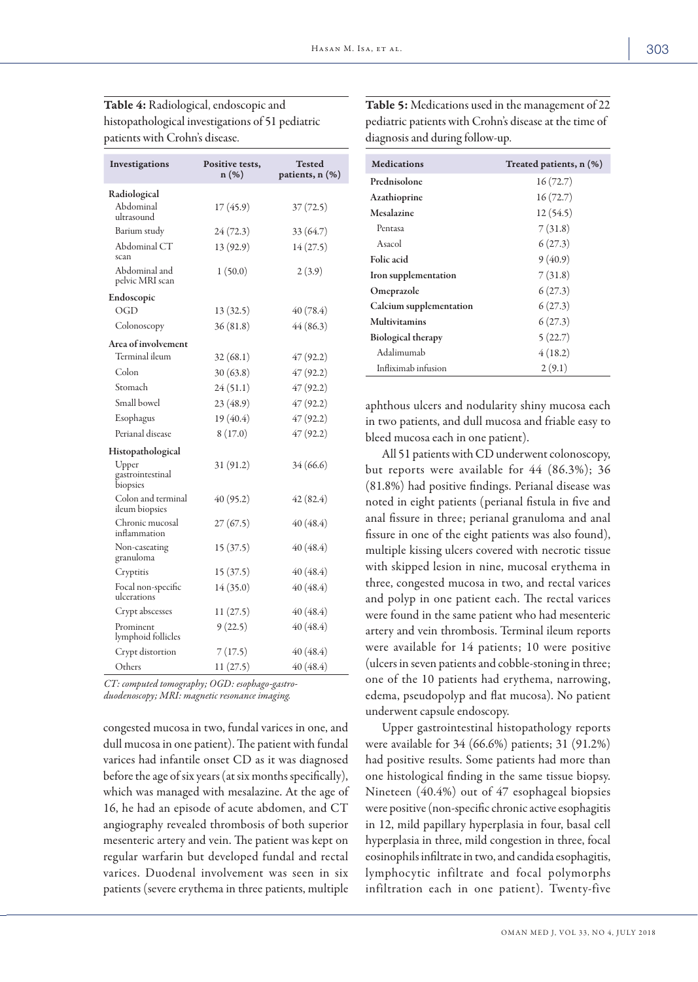| Investigations                        | Positive tests,<br>$n(\%)$ | Tested<br>patients, n (%) |  |
|---------------------------------------|----------------------------|---------------------------|--|
| Radiological                          |                            |                           |  |
| Abdominal<br>ultrasound               | 17 (45.9)                  | 37(72.5)                  |  |
| Barium study                          | 24 (72.3)                  | 33 (64.7)                 |  |
| Abdominal CT<br>scan                  | 13 (92.9)                  | 14(27.5)                  |  |
| Abdominal and<br>pelvic MRI scan      | 1(50.0)                    | 2(3.9)                    |  |
| Endoscopic                            |                            |                           |  |
| OGD                                   | 13(32.5)                   | 40(78.4)                  |  |
| Colonoscopy                           | 36(81.8)                   | 44(86.3)                  |  |
| Area of involvement                   |                            |                           |  |
| Terminal ileum                        | 32(68.1)                   | 47 (92.2)                 |  |
| Colon                                 | 30(63.8)                   | 47(92.2)                  |  |
| Stomach                               | 24(51.1)                   | 47(92.2)                  |  |
| Small bowel                           | 23 (48.9)                  | 47(92.2)                  |  |
| Esophagus                             | 19 (40.4)                  | 47(92.2)                  |  |
| Perianal disease                      | 8(17.0)                    | 47(92.2)                  |  |
| Histopathological                     |                            |                           |  |
| Upper<br>gastrointestinal<br>biopsies | 31 (91.2)                  | 34 (66.6)                 |  |
| Colon and terminal<br>ileum biopsies  | 40 (95.2)                  | 42(82.4)                  |  |
| Chronic mucosal<br>inflammation       | 27(67.5)                   | 40(48.4)                  |  |
| Non-caseating<br>granuloma            | 15(37.5)                   | 40(48.4)                  |  |
| Cryptitis                             | 15 (37.5)                  | 40(48.4)                  |  |
| Focal non-specific<br>ulcerations     | 14(35.0)                   | 40 (48.4)                 |  |
| Crypt abscesses                       | 11(27.5)                   | 40(48.4)                  |  |
| Prominent<br>lymphoid follicles       | 9(22.5)                    | 40 (48.4)                 |  |
| Crypt distortion                      | 7(17.5)                    | 40 (48.4)                 |  |
| Others                                | 11(27.5)                   | 40 (48.4)                 |  |

Table 4: Radiological, endoscopic and histopathological investigations of 51 pediatric patients with Crohn's disease.

*CT: computed tomography; OGD: esophago-gastro-*

*duodenoscopy; MRI: magnetic resonance imaging.* 

congested mucosa in two, fundal varices in one, and dull mucosa in one patient). The patient with fundal varices had infantile onset CD as it was diagnosed before the age of six years (at six months specifically), which was managed with mesalazine. At the age of 16, he had an episode of acute abdomen, and CT angiography revealed thrombosis of both superior mesenteric artery and vein. The patient was kept on regular warfarin but developed fundal and rectal varices. Duodenal involvement was seen in six patients (severe erythema in three patients, multiple

Table 5: Medications used in the management of 22 pediatric patients with Crohn's disease at the time of diagnosis and during follow-up.

| <b>Medications</b>        | Treated patients, n (%) |
|---------------------------|-------------------------|
| Prednisolone              | 16(72.7)                |
| <b>Azathioprine</b>       | 16(72.7)                |
| Mesalazine                | 12(54.5)                |
| Pentasa                   | 7(31.8)                 |
| Asacol                    | 6(27.3)                 |
| Folic acid                | 9(40.9)                 |
| Iron supplementation      | 7(31.8)                 |
| Omeprazole                | 6(27.3)                 |
| Calcium supplementation   | 6(27.3)                 |
| <b>Multivitamins</b>      | 6(27.3)                 |
| <b>Biological therapy</b> | 5(22.7)                 |
| Adalimumab                | 4(18.2)                 |
| Infliximab infusion       | 2(9.1)                  |

aphthous ulcers and nodularity shiny mucosa each in two patients, and dull mucosa and friable easy to bleed mucosa each in one patient).

All 51 patients with CD underwent colonoscopy, but reports were available for 44 (86.3%); 36 (81.8%) had positive findings. Perianal disease was noted in eight patients (perianal fistula in five and anal fissure in three; perianal granuloma and anal fissure in one of the eight patients was also found), multiple kissing ulcers covered with necrotic tissue with skipped lesion in nine, mucosal erythema in three, congested mucosa in two, and rectal varices and polyp in one patient each. The rectal varices were found in the same patient who had mesenteric artery and vein thrombosis. Terminal ileum reports were available for 14 patients; 10 were positive (ulcers in seven patients and cobble-stoning in three; one of the 10 patients had erythema, narrowing, edema, pseudopolyp and flat mucosa). No patient underwent capsule endoscopy.

Upper gastrointestinal histopathology reports were available for 34 (66.6%) patients; 31 (91.2%) had positive results. Some patients had more than one histological finding in the same tissue biopsy. Nineteen (40.4%) out of 47 esophageal biopsies were positive (non-specific chronic active esophagitis in 12, mild papillary hyperplasia in four, basal cell hyperplasia in three, mild congestion in three, focal eosinophils infiltrate in two, and candida esophagitis, lymphocytic infiltrate and focal polymorphs infiltration each in one patient). Twenty-five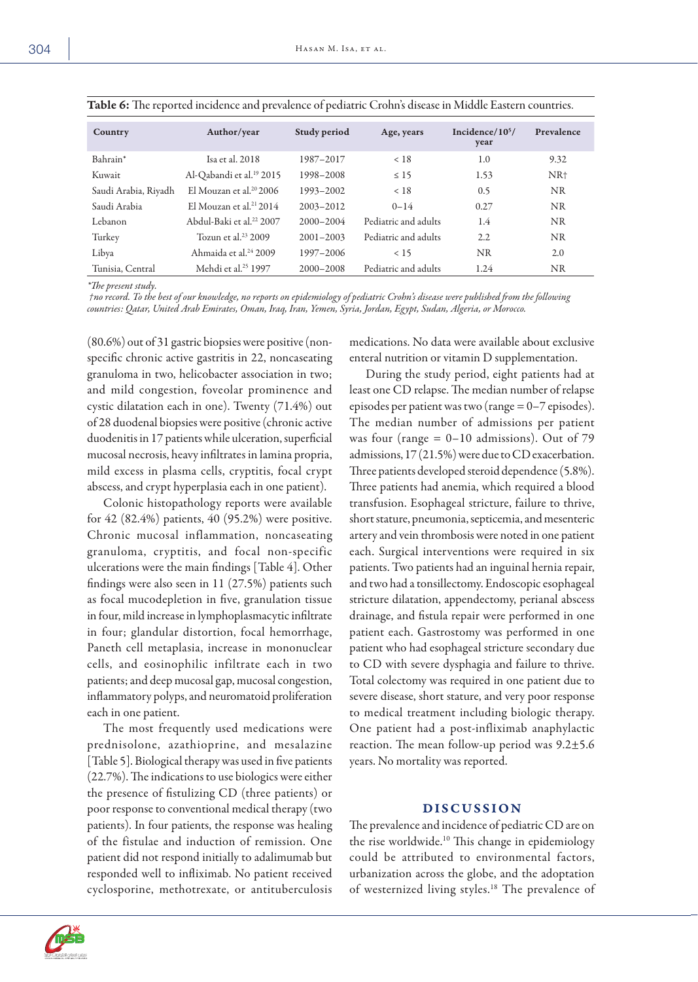| Country              | Author/year                          | Study period  | Age, years           | Incidence/10 <sup>5</sup> /<br>year | Prevalence      |
|----------------------|--------------------------------------|---------------|----------------------|-------------------------------------|-----------------|
| Bahrain*             | Isa et al. $2018$                    | 1987-2017     | < 18                 | 1.0                                 | 9.32            |
| Kuwait               | Al-Qabandi et al. <sup>19</sup> 2015 | 1998-2008     | $\leq 15$            | 1.53                                | NR <sup>+</sup> |
| Saudi Arabia, Riyadh | El Mouzan et al. $202006$            | 1993-2002     | < 18                 | 0.5                                 | <b>NR</b>       |
| Saudi Arabia         | El Mouzan et al. <sup>21</sup> 2014  | $2003 - 2012$ | $0 - 14$             | 0.27                                | NR.             |
| Lebanon              | Abdul-Baki et al. <sup>22</sup> 2007 | $2000 - 2004$ | Pediatric and adults | 1.4                                 | <b>NR</b>       |
| Turkey               | Tozun et al. $23$ 2009               | $2001 - 2003$ | Pediatric and adults | 2.2                                 | <b>NR</b>       |
| Libya                | Ahmaida et al. <sup>24</sup> 2009    | 1997-2006     | < 15                 | <b>NR</b>                           | 2.0             |
| Tunisia, Central     | Mehdi et al. <sup>25</sup> 1997      | 2000-2008     | Pediatric and adults | 1.24                                | NR              |

Table 6: The reported incidence and prevalence of pediatric Crohn's disease in Middle Eastern countries.

*\*The present study.*

 *†no record. To the best of our knowledge, no reports on epidemiology of pediatric Crohn's disease were published from the following countries: Qatar, United Arab Emirates, Oman, Iraq, Iran, Yemen, Syria, Jordan, Egypt, Sudan, Algeria, or Morocco.*

(80.6%) out of 31 gastric biopsies were positive (nonspecific chronic active gastritis in 22, noncaseating granuloma in two, helicobacter association in two; and mild congestion, foveolar prominence and cystic dilatation each in one). Twenty (71.4%) out of 28 duodenal biopsies were positive (chronic active duodenitis in 17 patients while ulceration, superficial mucosal necrosis, heavy infiltrates in lamina propria, mild excess in plasma cells, cryptitis, focal crypt abscess, and crypt hyperplasia each in one patient).

Colonic histopathology reports were available for 42 (82.4%) patients, 40 (95.2%) were positive. Chronic mucosal inflammation, noncaseating granuloma, cryptitis, and focal non-specific ulcerations were the main findings [Table 4]. Other findings were also seen in 11 (27.5%) patients such as focal mucodepletion in five, granulation tissue in four, mild increase in lymphoplasmacytic infiltrate in four; glandular distortion, focal hemorrhage, Paneth cell metaplasia, increase in mononuclear cells, and eosinophilic infiltrate each in two patients; and deep mucosal gap, mucosal congestion, inflammatory polyps, and neuromatoid proliferation each in one patient.

The most frequently used medications were prednisolone, azathioprine, and mesalazine [Table 5]. Biological therapy was used in five patients (22.7%). The indications to use biologics were either the presence of fistulizing CD (three patients) or poor response to conventional medical therapy (two patients). In four patients, the response was healing of the fistulae and induction of remission. One patient did not respond initially to adalimumab but responded well to infliximab. No patient received cyclosporine, methotrexate, or antituberculosis

medications. No data were available about exclusive enteral nutrition or vitamin D supplementation.

During the study period, eight patients had at least one CD relapse. The median number of relapse episodes per patient was two (range = 0–7 episodes). The median number of admissions per patient was four (range  $= 0-10$  admissions). Out of 79 admissions, 17 (21.5%) were due to CD exacerbation. Three patients developed steroid dependence (5.8%). Three patients had anemia, which required a blood transfusion. Esophageal stricture, failure to thrive, short stature, pneumonia, septicemia, and mesenteric artery and vein thrombosis were noted in one patient each. Surgical interventions were required in six patients. Two patients had an inguinal hernia repair, and two had a tonsillectomy. Endoscopic esophageal stricture dilatation, appendectomy, perianal abscess drainage, and fistula repair were performed in one patient each. Gastrostomy was performed in one patient who had esophageal stricture secondary due to CD with severe dysphagia and failure to thrive. Total colectomy was required in one patient due to severe disease, short stature, and very poor response to medical treatment including biologic therapy. One patient had a post-infliximab anaphylactic reaction. The mean follow-up period was 9.2±5.6 years. No mortality was reported.

## DISCUSSION

The prevalence and incidence of pediatric CD are on the rise worldwide.10 This change in epidemiology could be attributed to environmental factors, urbanization across the globe, and the adoptation of westernized living styles.18 The prevalence of

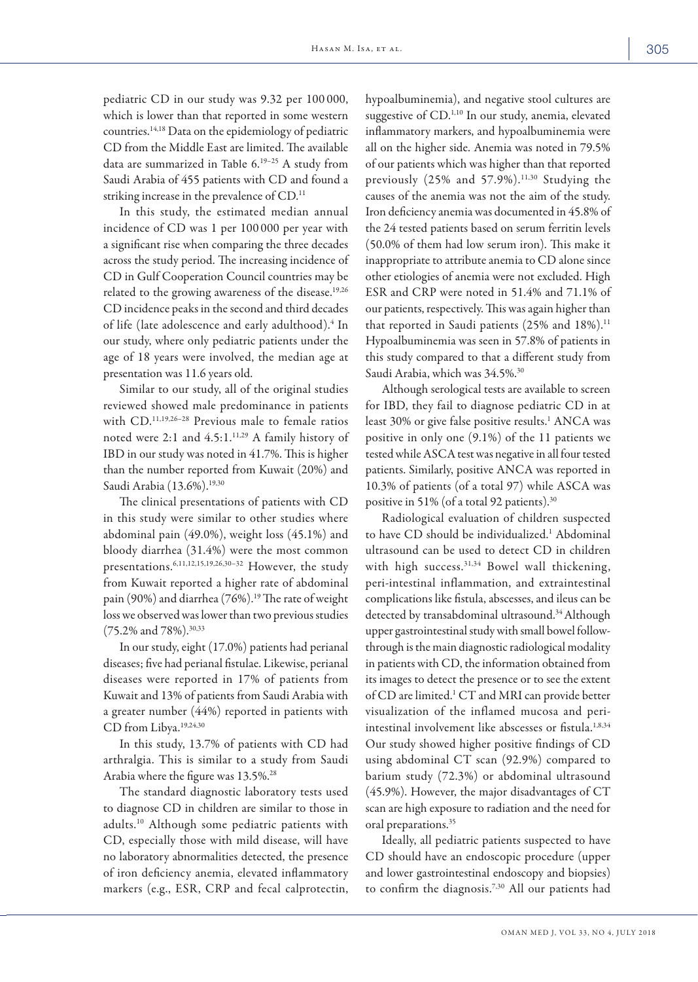pediatric CD in our study was 9.32 per 100 000, which is lower than that reported in some western countries.14,18 Data on the epidemiology of pediatric CD from the Middle East are limited. The available data are summarized in Table 6. 19–25 A study from Saudi Arabia of 455 patients with CD and found a striking increase in the prevalence of CD.<sup>11</sup>

In this study, the estimated median annual incidence of CD was 1 per 100 000 per year with a significant rise when comparing the three decades across the study period. The increasing incidence of CD in Gulf Cooperation Council countries may be related to the growing awareness of the disease.<sup>19,26</sup> CD incidence peaks in the second and third decades of life (late adolescence and early adulthood).<sup>4</sup> In our study, where only pediatric patients under the age of 18 years were involved, the median age at presentation was 11.6 years old.

Similar to our study, all of the original studies reviewed showed male predominance in patients with CD.11,19,26–28 Previous male to female ratios noted were 2:1 and 4.5:1.11,29 A family history of IBD in our study was noted in 41.7%. This is higher than the number reported from Kuwait (20%) and Saudi Arabia (13.6%).<sup>19,30</sup>

The clinical presentations of patients with CD in this study were similar to other studies where abdominal pain (49.0%), weight loss (45.1%) and bloody diarrhea (31.4%) were the most common presentations.6,11,12,15,19,26,30–32 However, the study from Kuwait reported a higher rate of abdominal pain (90%) and diarrhea (76%).<sup>19</sup> The rate of weight loss we observed was lower than two previous studies (75.2% and 78%).30,33

In our study, eight (17.0%) patients had perianal diseases; five had perianal fistulae. Likewise, perianal diseases were reported in 17% of patients from Kuwait and 13% of patients from Saudi Arabia with a greater number (44%) reported in patients with CD from Libya.19,24,30

In this study, 13.7% of patients with CD had arthralgia. This is similar to a study from Saudi Arabia where the figure was 13.5%.<sup>28</sup>

The standard diagnostic laboratory tests used to diagnose CD in children are similar to those in adults.10 Although some pediatric patients with CD, especially those with mild disease, will have no laboratory abnormalities detected, the presence of iron deficiency anemia, elevated inflammatory markers (e.g., ESR, CRP and fecal calprotectin, hypoalbuminemia), and negative stool cultures are suggestive of CD.<sup>1,10</sup> In our study, anemia, elevated inflammatory markers, and hypoalbuminemia were all on the higher side. Anemia was noted in 79.5% of our patients which was higher than that reported previously (25% and 57.9%).<sup>11,30</sup> Studying the causes of the anemia was not the aim of the study. Iron deficiency anemia was documented in 45.8% of the 24 tested patients based on serum ferritin levels (50.0% of them had low serum iron). This make it inappropriate to attribute anemia to CD alone since other etiologies of anemia were not excluded. High ESR and CRP were noted in 51.4% and 71.1% of our patients, respectively. This was again higher than that reported in Saudi patients (25% and 18%).<sup>11</sup> Hypoalbuminemia was seen in 57.8% of patients in this study compared to that a different study from Saudi Arabia, which was 34.5%.<sup>30</sup>

Although serological tests are available to screen for IBD, they fail to diagnose pediatric CD in at least 30% or give false positive results.<sup>1</sup> ANCA was positive in only one (9.1%) of the 11 patients we tested while ASCA test was negative in all four tested patients. Similarly, positive ANCA was reported in 10.3% of patients (of a total 97) while ASCA was positive in 51% (of a total 92 patients).30

Radiological evaluation of children suspected to have CD should be individualized.<sup>1</sup> Abdominal ultrasound can be used to detect CD in children with high success.<sup>31,34</sup> Bowel wall thickening, peri-intestinal inflammation, and extraintestinal complications like fistula, abscesses, and ileus can be detected by transabdominal ultrasound.<sup>34</sup> Although upper gastrointestinal study with small bowel followthrough is the main diagnostic radiological modality in patients with CD, the information obtained from its images to detect the presence or to see the extent of CD are limited.<sup>1</sup> CT and MRI can provide better visualization of the inflamed mucosa and periintestinal involvement like abscesses or fistula.<sup>1,8,34</sup> Our study showed higher positive findings of CD using abdominal CT scan (92.9%) compared to barium study (72.3%) or abdominal ultrasound (45.9%). However, the major disadvantages of CT scan are high exposure to radiation and the need for oral preparations.<sup>35</sup>

Ideally, all pediatric patients suspected to have CD should have an endoscopic procedure (upper and lower gastrointestinal endoscopy and biopsies) to confirm the diagnosis.7,30 All our patients had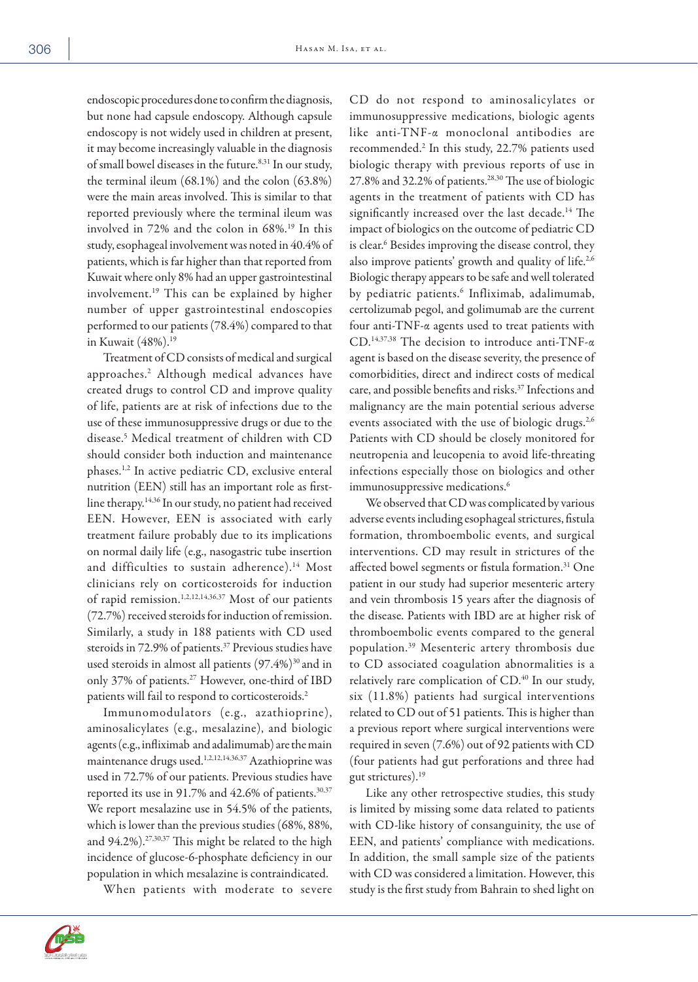endoscopic procedures done to confirm the diagnosis, but none had capsule endoscopy. Although capsule endoscopy is not widely used in children at present, it may become increasingly valuable in the diagnosis of small bowel diseases in the future.<sup>8,31</sup> In our study, the terminal ileum (68.1%) and the colon (63.8%) were the main areas involved. This is similar to that reported previously where the terminal ileum was involved in 72% and the colon in 68%.19 In this study, esophageal involvement was noted in 40.4% of patients, which is far higher than that reported from Kuwait where only 8% had an upper gastrointestinal involvement.19 This can be explained by higher number of upper gastrointestinal endoscopies performed to our patients (78.4%) compared to that in Kuwait (48%).19

Treatment of CD consists of medical and surgical approaches.2 Although medical advances have created drugs to control CD and improve quality of life, patients are at risk of infections due to the use of these immunosuppressive drugs or due to the disease.5 Medical treatment of children with CD should consider both induction and maintenance phases.1,2 In active pediatric CD, exclusive enteral nutrition (EEN) still has an important role as firstline therapy.<sup>14,36</sup> In our study, no patient had received EEN. However, EEN is associated with early treatment failure probably due to its implications on normal daily life (e.g., nasogastric tube insertion and difficulties to sustain adherence).<sup>14</sup> Most clinicians rely on corticosteroids for induction of rapid remission.1,2,12,14,36,37 Most of our patients (72.7%) received steroids for induction of remission. Similarly, a study in 188 patients with CD used steroids in 72.9% of patients.<sup>37</sup> Previous studies have used steroids in almost all patients  $(97.4\%)^{30}$  and in only 37% of patients.<sup>27</sup> However, one-third of IBD patients will fail to respond to corticosteroids.<sup>2</sup>

Immunomodulators (e.g., azathioprine), aminosalicylates (e.g., mesalazine), and biologic agents (e.g., infliximab and adalimumab) are the main maintenance drugs used.1,2,12,14,36,37 Azathioprine was used in 72.7% of our patients. Previous studies have reported its use in 91.7% and 42.6% of patients.<sup>30,37</sup> We report mesalazine use in 54.5% of the patients, which is lower than the previous studies (68%, 88%, and 94.2%).27,30,37 This might be related to the high incidence of glucose-6-phosphate deficiency in our population in which mesalazine is contraindicated.

When patients with moderate to severe

CD do not respond to aminosalicylates or immunosuppressive medications, biologic agents like anti-TNF-α monoclonal antibodies are recommended.2 In this study, 22.7% patients used biologic therapy with previous reports of use in 27.8% and 32.2% of patients.28,30 The use of biologic agents in the treatment of patients with CD has significantly increased over the last decade.<sup>14</sup> The impact of biologics on the outcome of pediatric CD is clear.6 Besides improving the disease control, they also improve patients' growth and quality of life.<sup>2,6</sup> Biologic therapy appears to be safe and well tolerated by pediatric patients.6 Infliximab, adalimumab, certolizumab pegol, and golimumab are the current four anti-TNF-α agents used to treat patients with CD.14,37,38 The decision to introduce anti-TNF-α agent is based on the disease severity, the presence of comorbidities, direct and indirect costs of medical care, and possible benefits and risks.37 Infections and malignancy are the main potential serious adverse events associated with the use of biologic drugs.<sup>2,6</sup> Patients with CD should be closely monitored for neutropenia and leucopenia to avoid life-threating infections especially those on biologics and other immunosuppressive medications.<sup>6</sup>

We observed that CD was complicated by various adverse events including esophageal strictures, fistula formation, thromboembolic events, and surgical interventions. CD may result in strictures of the affected bowel segments or fistula formation.<sup>31</sup> One patient in our study had superior mesenteric artery and vein thrombosis 15 years after the diagnosis of the disease. Patients with IBD are at higher risk of thromboembolic events compared to the general population.39 Mesenteric artery thrombosis due to CD associated coagulation abnormalities is a relatively rare complication of CD.<sup>40</sup> In our study, six (11.8%) patients had surgical interventions related to CD out of 51 patients. This is higher than a previous report where surgical interventions were required in seven (7.6%) out of 92 patients with CD (four patients had gut perforations and three had gut strictures).19

Like any other retrospective studies, this study is limited by missing some data related to patients with CD-like history of consanguinity, the use of EEN, and patients' compliance with medications. In addition, the small sample size of the patients with CD was considered a limitation. However, this study is the first study from Bahrain to shed light on

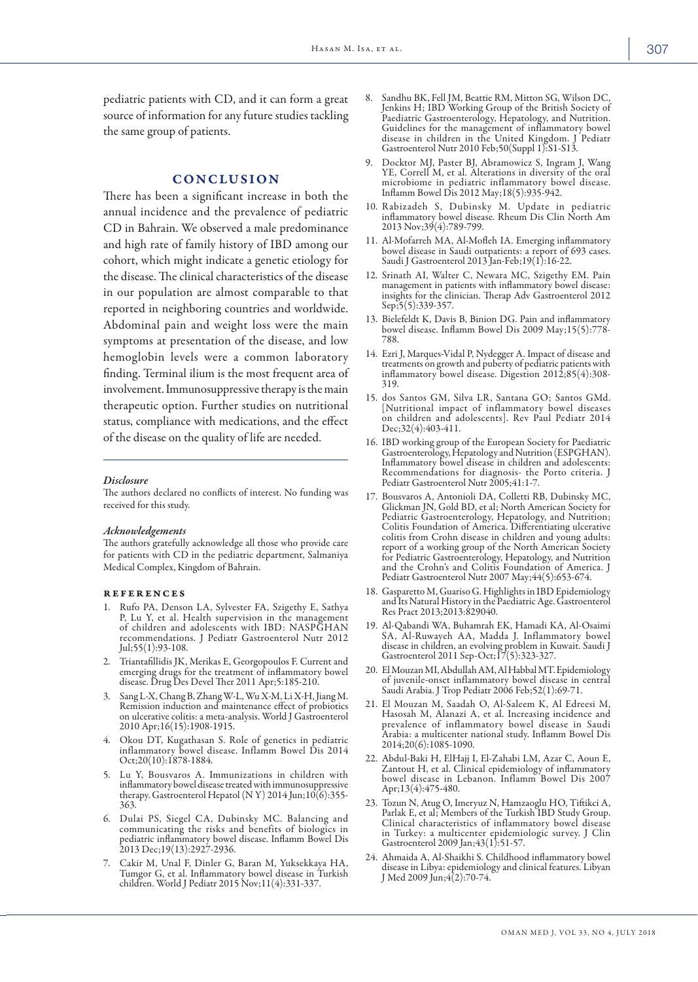pediatric patients with CD, and it can form a great source of information for any future studies tackling the same group of patients.

# CONCLUSION

There has been a significant increase in both the annual incidence and the prevalence of pediatric CD in Bahrain. We observed a male predominance and high rate of family history of IBD among our cohort, which might indicate a genetic etiology for the disease. The clinical characteristics of the disease in our population are almost comparable to that reported in neighboring countries and worldwide. Abdominal pain and weight loss were the main symptoms at presentation of the disease, and low hemoglobin levels were a common laboratory finding. Terminal ilium is the most frequent area of involvement. Immunosuppressive therapy is the main therapeutic option. Further studies on nutritional status, compliance with medications, and the effect of the disease on the quality of life are needed.

#### *Disclosure*

The authors declared no conflicts of interest. No funding was received for this study.

#### *Acknowledgements*

The authors gratefully acknowledge all those who provide care for patients with CD in the pediatric department, Salmaniya Medical Complex, Kingdom of Bahrain.

#### references

- Rufo PA, Denson LA, Sylvester FA, Szigethy E, Sathya<br>P, Lu Y, et al. Health supervision in the management of children and adolescents with IBD: NASPĞHAN recommendations. J Pediatr Gastroenterol Nutr 2012 Jul;55(1):93-108.
- 2. Triantafillidis JK, Merikas E, Georgopoulos F. Current and emerging drugs for the treatment of inflammatory bowel disease. Drug Des Devel Ther 2011 Apr;5:185-210.
- 3. Sang L-X, Chang B, Zhang W-L, Wu X-M, Li X-H, Jiang M. Remission induction and maintenance effect of probiotics on ulcerative colitis: a meta-analysis. World J Gastroenterol 2010 Apr;16(15):1908-1915.
- 4. Okou DT, Kugathasan S. Role of genetics in pediatric inflammatory bowel disease. Inflamm Bowel Dis 2014 Oct;20(10):1878-1884.
- 5. Lu Y, Bousvaros A. Immunizations in children with inflammatory bowel disease treated with immunosuppressive therapy. Gastroenterol Hepatol (N Y) 2014 Jun;  $10(6):355-$ 363.
- 6. Dulai PS, Siegel CA, Dubinsky MC. Balancing and communicating the risks and benefits of biologics in pediatric inflammatory bowel disease. Inflamm Bowel Dis 2013 Dec;19(13):2927-2936.
- 7. Cakir M, Unal F, Dinler G, Baran M, Yuksekkaya HA, Tumgor G, et al. Inflammatory bowel disease in Turkish children. World J Pediatr 2015 Nov;11(4):331-337.
- 8. Sandhu BK, Fell JM, Beattie RM, Mitton SG, Wilson DC, Jenkins H; IBD Working Group of the British Society of Paediatric Gastroenterology, Hepatology, and Nutrition. Guidelines for the management of inflammatory bowel disease in children in the United Kingdom. J Pediatr Gastroenterol Nutr 2010 Feb;50(Suppl 1):S1-S13.
- 9. Docktor MJ, Paster BJ, Abramowicz S, Ingram J, Wang YE, Correll M, et al. Alterations in diversity of the oral microbiome in pediatric inflammatory bowel disease. Inflamm Bowel Dis 2012 May;18(5):935-942.
- 10. Rabizadeh S, Dubinsky M. Update in pediatric inflammatory bowel disease. Rheum Dis Clin North Am 2013 Nov;39(4):789-799.
- 11. Al-Mofarreh MA, Al-Mofleh IA. Emerging inflammatory bowel disease in Saudi outpatients: a report of 693 cases. Saudi J Gastroenterol 2013 Jan-Feb;19(1):16-22.
- 12. Srinath AI, Walter C, Newara MC, Szigethy EM. Pain management in patients with inflammatory bowel disease: insights for the clinician. Therap Adv Gastroenterol 2012 Sep;5(5):339-357.
- 13. Bielefeldt K, Davis B, Binion DG. Pain and inflammatory bowel disease. Inflamm Bowel Dis 2009 May;15(5):778- 788.
- 14. Ezri J, Marques-Vidal P, Nydegger A. Impact of disease and treatments on growth and puberty of pediatric patients with inflammatory bowel disease. Digestion 2012;85(4):308- 319.
- 15. dos Santos GM, Silva LR, Santana GO; Santos GMd. [Nutritional impact of inflammatory bowel diseases on children and adolescents]. Rev Paul Pediatr 2014 Dec;32(4):403-411.
- 16. IBD working group of the European Society for Paediatric Gastroenterology, Hepatology and Nutrition (ESPGHAN). Inflammatory bowel disease in children and adolescents: Recommendations for diagnosis- the Porto criteria. J Pediatr Gastroenterol Nutr 2005;41:1-7.
- 17. Bousvaros A, Antonioli DA, Colletti RB, Dubinsky MC, Glickman JN, Gold BD, et al; North American Society for Pediatric Gastroenterology, Hepatology, and Nutrition; Colitis Foundation of America. Differentiating ulcerative colitis from Crohn disease in children and young adults: report of a working group of the North American Society for Pediatric Gastroenterology, Hepatology, and Nutrition and the Crohn's and Colitis Foundation of America. J Pediatr Gastroenterol Nutr 2007 May;44(5):653-674.
- 18. Gasparetto M, Guariso G. Highlights in IBD Epidemiology and Its Natural History in the Paediatric Age. Gastroenterol Res Pract 2013;2013:829040.
- 19. Al-Qabandi WA, Buhamrah EK, Hamadi KA, Al-Osaimi SA, Al-Ruwayeh AA, Madda J. Inflammatory bowel disease in children, an evolving problem in Kuwait. Saudi J Gastroenterol 2011 Sep-Oct;17(5):323-327.
- 20. El Mouzan MI, Abdullah AM, Al Habbal MT. Epidemiology of juvenile-onset inflammatory bowel disease in central Saudi Arabia. J Trop Pediatr 2006 Feb;52(1):69-71.
- 21. El Mouzan M, Saadah O, Al-Saleem K, Al Edreesi M, Hasosah M, Alanazi A, et al. Increasing incidence and prevalence of inflammatory bowel disease in Saudi Arabia: a multicenter national study. Inflamm Bowel Dis 2014;20(6):1085-1090.
- 22. Abdul-Baki H, ElHajj I, El-Zahabi LM, Azar C, Aoun E, Zantout H, et al. Clinical epidemiology of inflammatory bowel disease in Lebanon. Inflamm Bowel Dis 2007 Apr;13(4):475-480.
- 23. Tozun N, Atug O, Imeryuz N, Hamzaoglu HO, Tiftikci A, Parlak E, et al; Members of the Turkish IBD Study Group. Clinical characteristics of inflammatory bowel disease in Turkey: a multicenter epidemiologic survey. J Clin Gastroenterol 2009 Jan;43(1):51-57.
- 24. Ahmaida A, Al-Shaikhi S. Childhood inflammatory bowel disease in Libya: epidemiology and clinical features. Libyan J Med 2009 Jun;4(2):70-74.